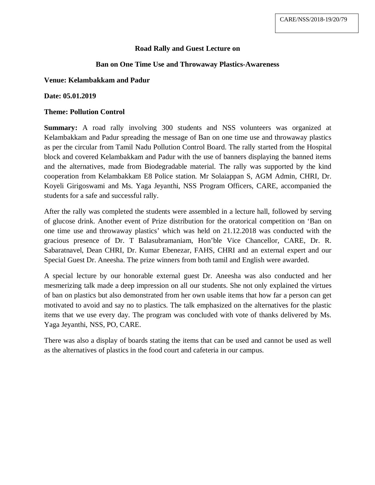# **Road Rally and Guest Lecture on**

## **Ban on One Time Use and Throwaway Plastics-Awareness**

### **Venue: Kelambakkam and Padur**

#### **Date: 05.01.2019**

#### **Theme: Pollution Control**

**Summary:** A road rally involving 300 students and NSS volunteers was organized at Kelambakkam and Padur spreading the message of Ban on one time use and throwaway plastics as per the circular from Tamil Nadu Pollution Control Board. The rally started from the Hospital block and covered Kelambakkam and Padur with the use of banners displaying the banned items and the alternatives, made from Biodegradable material. The rally was supported by the kind cooperation from Kelambakkam E8 Police station. Mr Solaiappan S, AGM Admin, CHRI, Dr. Koyeli Girigoswami and Ms. Yaga Jeyanthi, NSS Program Officers, CARE, accompanied the students for a safe and successful rally.

After the rally was completed the students were assembled in a lecture hall, followed by serving of glucose drink. Another event of Prize distribution for the oratorical competition on 'Ban on one time use and throwaway plastics' which was held on 21.12.2018 was conducted with the gracious presence of Dr. T Balasubramaniam, Hon'ble Vice Chancellor, CARE, Dr. R. Sabaratnavel, Dean CHRI, Dr. Kumar Ebenezar, FAHS, CHRI and an external expert and our Special Guest Dr. Aneesha. The prize winners from both tamil and English were awarded.

A special lecture by our honorable external guest Dr. Aneesha was also conducted and her mesmerizing talk made a deep impression on all our students. She not only explained the virtues of ban on plastics but also demonstrated from her own usable items that how far a person can get motivated to avoid and say no to plastics. The talk emphasized on the alternatives for the plastic items that we use every day. The program was concluded with vote of thanks delivered by Ms. Yaga Jeyanthi, NSS, PO, CARE.

There was also a display of boards stating the items that can be used and cannot be used as well as the alternatives of plastics in the food court and cafeteria in our campus.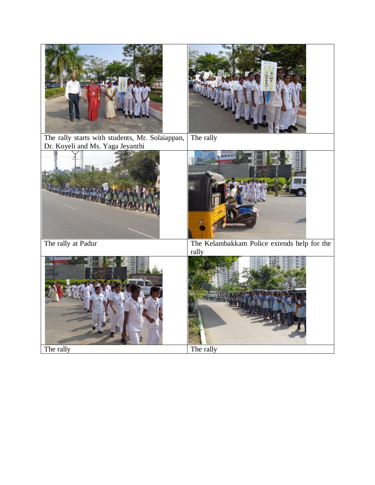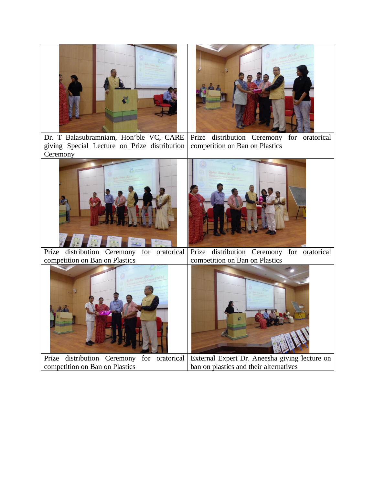

Dr. T Balasubramniam, Hon'ble VC, CARE giving Special Lecture on Prize distribution **Ceremony** Prize distribution Ceremony for oratorical competition on Ban on Plastics





Prize distribution Ceremony for oratorical competition on Ban on Plastics Prize distribution Ceremony for oratorical competition on Ban on Plastics



Prize distribution Ceremony for oratorical competition on Ban on Plastics External Expert Dr. Aneesha giving lecture on ban on plastics and their alternatives